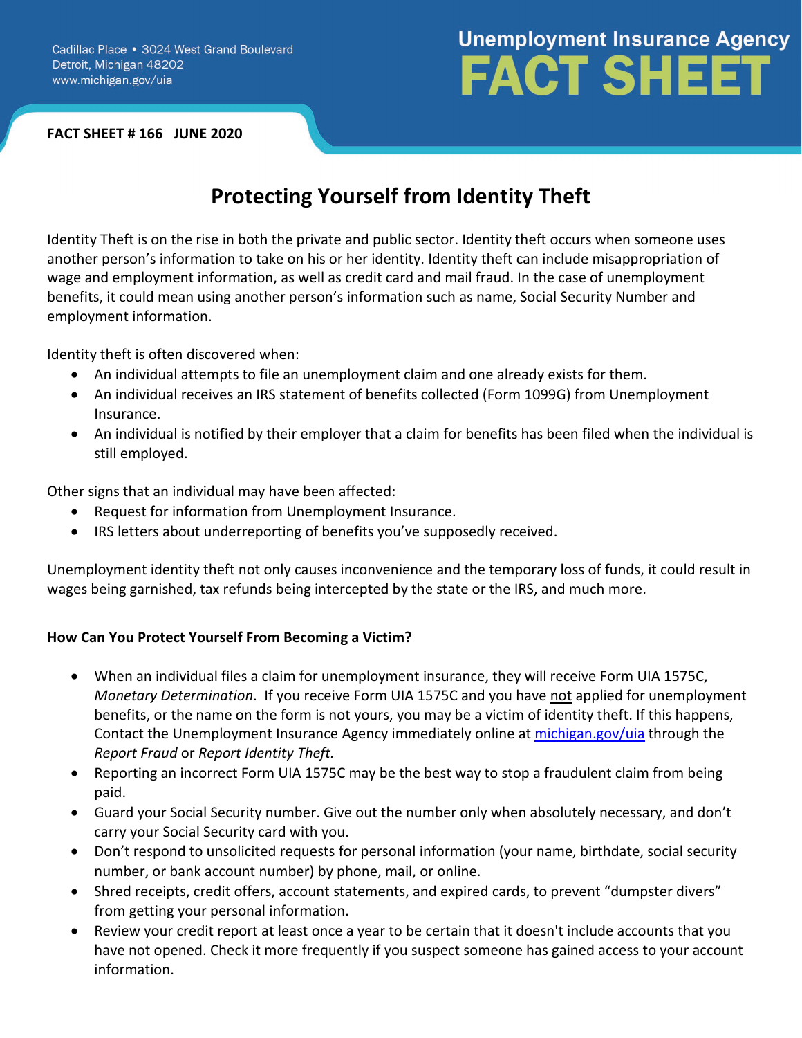#### **FACT SHEET # 166 JUNE 2020**

# **Unemployment Insurance Agency FACT SHEET**

# **Protecting Yourself from Identity Theft**

Identity Theft is on the rise in both the private and public sector. Identity theft occurs when someone uses another person's information to take on his or her identity. Identity theft can include misappropriation of wage and employment information, as well as credit card and mail fraud. In the case of unemployment benefits, it could mean using another person's information such as name, Social Security Number and employment information.

Identity theft is often discovered when:

- An individual attempts to file an unemployment claim and one already exists for them.
- An individual receives an IRS statement of benefits collected (Form 1099G) from Unemployment Insurance.
- An individual is notified by their employer that a claim for benefits has been filed when the individual is still employed.

Other signs that an individual may have been affected:

- Request for information from Unemployment Insurance.
- IRS letters about underreporting of benefits you've supposedly received.

Unemployment identity theft not only causes inconvenience and the temporary loss of funds, it could result in wages being garnished, tax refunds being intercepted by the state or the IRS, and much more.

# **How Can You Protect Yourself From Becoming a Victim?**

- When an individual files a claim for unemployment insurance, they will receive Form UIA 1575C, *Monetary Determination*. If you receive Form UIA 1575C and you have not applied for unemployment benefits, or the name on the form is not yours, you may be a victim of identity theft. If this happens, Contact the Unemployment Insurance Agency immediately online at michigan.gov/uia through the *Report Fraud* or *Report Identity Theft.*
- Reporting an incorrect Form UIA 1575C may be the best way to stop a fraudulent claim from being paid.
- Guard your Social Security number. Give out the number only when absolutely necessary, and don't carry your Social Security card with you.
- Don't respond to unsolicited requests for personal information (your name, birthdate, social security number, or bank account number) by phone, mail, or online.
- Shred receipts, credit offers, account statements, and expired cards, to prevent "dumpster divers" from getting your personal information.
- Review your credit report at least once a year to be certain that it doesn't include accounts that you have not opened. Check it more frequently if you suspect someone has gained access to your account information.